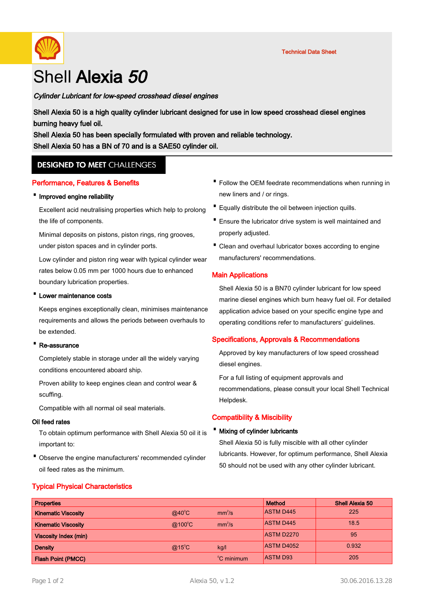

# Shell Alexia 50

## Cylinder Lubricant for low-speed crosshead diesel engines

Shell Alexia 50 is a high quality cylinder lubricant designed for use in low speed crosshead diesel engines burning heavy fuel oil.

Shell Alexia 50 has been specially formulated with proven and reliable technology. Shell Alexia 50 has a BN of 70 and is a SAE50 cylinder oil.

# **DESIGNED TO MEET CHALLENGES**

#### Performance, Features & Benefits

#### ·Improved engine reliability

Excellent acid neutralising properties which help to prolong the life of components.

Minimal deposits on pistons, piston rings, ring grooves, under piston spaces and in cylinder ports.

Low cylinder and piston ring wear with typical cylinder wear rates below 0.05 mm per 1000 hours due to enhanced boundary lubrication properties.

#### Lower maintenance costs

Keeps engines exceptionally clean, minimises maintenance requirements and allows the periods between overhauls to be extended.

#### Re-assurance

Completely stable in storage under all the widely varying conditions encountered aboard ship.

Proven ability to keep engines clean and control wear & scuffing.

Compatible with all normal oil seal materials.

#### Oil feed rates

To obtain optimum performance with Shell Alexia 50 oil it is important to:

• Observe the engine manufacturers' recommended cylinder oil feed rates as the minimum.

- Follow the OEM feedrate recommendations when running in new liners and / or rings.
- · Equally distribute the oil between injection quills.
- Ensure the lubricator drive system is well maintained and properly adjusted.
- Clean and overhaul lubricator boxes according to engine manufacturers' recommendations.

#### Main Applications

Shell Alexia 50 is a BN70 cylinder lubricant for low speed marine diesel engines which burn heavy fuel oil. For detailed application advice based on your specific engine type and operating conditions refer to manufacturers' guidelines.

#### Specifications, Approvals & Recommendations

Approved by key manufacturers of low speed crosshead diesel engines.

For a full listing of equipment approvals and recommendations, please consult your local Shell Technical Helpdesk.

#### Compatibility & Miscibility

#### **Mixing of cylinder lubricants**

Shell Alexia 50 is fully miscible with all other cylinder lubricants. However, for optimum performance, Shell Alexia 50 should not be used with any other cylinder lubricant.

## Typical Physical Characteristics

| <b>Properties</b>            |                 |                        | <b>Method</b>     | <b>Shell Alexia 50</b> |
|------------------------------|-----------------|------------------------|-------------------|------------------------|
| <b>Kinematic Viscosity</b>   | $@40^{\circ}$ C | mm <sup>2</sup> /s     | <b>ASTM D445</b>  | 225                    |
| <b>Kinematic Viscosity</b>   | @100°C          | mm <sup>2</sup> /s     | <b>ASTM D445</b>  | 18.5                   |
| <b>Viscosity Index (min)</b> |                 |                        | <b>ASTM D2270</b> | 95                     |
| <b>Density</b>               | $@15^{\circ}$ C | kg/l                   | <b>ASTM D4052</b> | 0.932                  |
| <b>Flash Point (PMCC)</b>    |                 | <sup>°</sup> C minimum | <b>ASTM D93</b>   | 205                    |